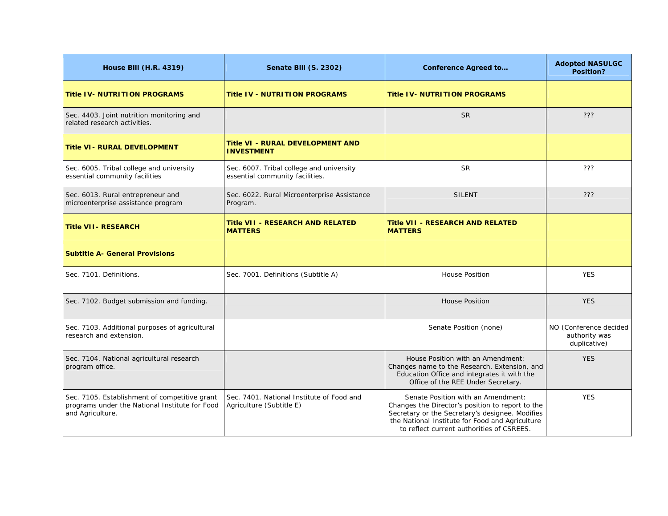| <b>House Bill (H.R. 4319)</b>                                                                                       | <b>Senate Bill (S. 2302)</b>                                                | <b>Conference Agreed to</b>                                                                                                                                                                                                               | <b>Adopted NASULGC</b><br>Position?                     |
|---------------------------------------------------------------------------------------------------------------------|-----------------------------------------------------------------------------|-------------------------------------------------------------------------------------------------------------------------------------------------------------------------------------------------------------------------------------------|---------------------------------------------------------|
| <b>Title IV- NUTRITION PROGRAMS</b>                                                                                 | <b>Title IV - NUTRITION PROGRAMS</b>                                        | <b>Title IV- NUTRITION PROGRAMS</b>                                                                                                                                                                                                       |                                                         |
| Sec. 4403. Joint nutrition monitoring and<br>related research activities.                                           |                                                                             | <b>SR</b>                                                                                                                                                                                                                                 | ???                                                     |
| <b>Title VI - RURAL DEVELOPMENT</b>                                                                                 | <b>Title VI - RURAL DEVELOPMENT AND</b><br><b>INVESTMENT</b>                |                                                                                                                                                                                                                                           |                                                         |
| Sec. 6005. Tribal college and university<br>essential community facilities                                          | Sec. 6007. Tribal college and university<br>essential community facilities. | <b>SR</b>                                                                                                                                                                                                                                 | ???                                                     |
| Sec. 6013. Rural entrepreneur and<br>microenterprise assistance program                                             | Sec. 6022. Rural Microenterprise Assistance<br>Program.                     | <b>SILENT</b>                                                                                                                                                                                                                             | ???                                                     |
| <b>Title VII- RESEARCH</b>                                                                                          | <b>Title VII - RESEARCH AND RELATED</b><br><b>MATTERS</b>                   | <b>Title VII - RESEARCH AND RELATED</b><br><b>MATTERS</b>                                                                                                                                                                                 |                                                         |
| <b>Subtitle A- General Provisions</b>                                                                               |                                                                             |                                                                                                                                                                                                                                           |                                                         |
| Sec. 7101. Definitions.                                                                                             | Sec. 7001. Definitions (Subtitle A)                                         | <b>House Position</b>                                                                                                                                                                                                                     | <b>YES</b>                                              |
| Sec. 7102. Budget submission and funding.                                                                           |                                                                             | <b>House Position</b>                                                                                                                                                                                                                     | <b>YES</b>                                              |
| Sec. 7103. Additional purposes of agricultural<br>research and extension.                                           |                                                                             | Senate Position (none)                                                                                                                                                                                                                    | NO (Conference decided<br>authority was<br>duplicative) |
| Sec. 7104. National agricultural research<br>program office.                                                        |                                                                             | House Position with an Amendment:<br>Changes name to the Research, Extension, and<br>Education Office and integrates it with the<br>Office of the REE Under Secretary.                                                                    | <b>YES</b>                                              |
| Sec. 7105. Establishment of competitive grant<br>programs under the National Institute for Food<br>and Agriculture. | Sec. 7401. National Institute of Food and<br>Agriculture (Subtitle E)       | Senate Position with an Amendment:<br>Changes the Director's position to report to the<br>Secretary or the Secretary's designee. Modifies<br>the National Institute for Food and Agriculture<br>to reflect current authorities of CSREES. | <b>YES</b>                                              |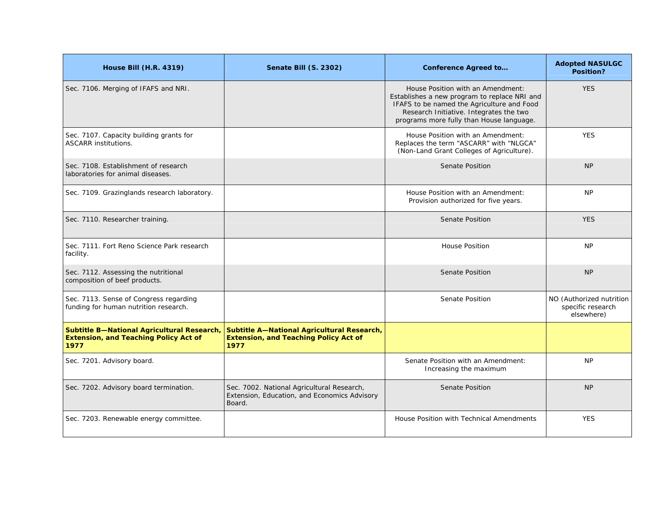| <b>House Bill (H.R. 4319)</b>                                                                      | <b>Senate Bill (S. 2302)</b>                                                                         | <b>Conference Agreed to</b>                                                                                                                                                                                            | <b>Adopted NASULGC</b><br>Position?                         |
|----------------------------------------------------------------------------------------------------|------------------------------------------------------------------------------------------------------|------------------------------------------------------------------------------------------------------------------------------------------------------------------------------------------------------------------------|-------------------------------------------------------------|
| Sec. 7106. Merging of IFAFS and NRI.                                                               |                                                                                                      | House Position with an Amendment:<br>Establishes a new program to replace NRI and<br>IFAFS to be named the Agriculture and Food<br>Research Initiative. Integrates the two<br>programs more fully than House language. | <b>YES</b>                                                  |
| Sec. 7107. Capacity building grants for<br><b>ASCARR institutions.</b>                             |                                                                                                      | House Position with an Amendment:<br>Replaces the term "ASCARR" with "NLGCA"<br>(Non-Land Grant Colleges of Agriculture).                                                                                              | <b>YES</b>                                                  |
| Sec. 7108. Establishment of research<br>laboratories for animal diseases.                          |                                                                                                      | <b>Senate Position</b>                                                                                                                                                                                                 | <b>NP</b>                                                   |
| Sec. 7109. Grazinglands research laboratory.                                                       |                                                                                                      | House Position with an Amendment:<br>Provision authorized for five years.                                                                                                                                              | <b>NP</b>                                                   |
| Sec. 7110. Researcher training.                                                                    |                                                                                                      | Senate Position                                                                                                                                                                                                        | <b>YES</b>                                                  |
| Sec. 7111. Fort Reno Science Park research<br>facility.                                            |                                                                                                      | <b>House Position</b>                                                                                                                                                                                                  | <b>NP</b>                                                   |
| Sec. 7112. Assessing the nutritional<br>composition of beef products.                              |                                                                                                      | <b>Senate Position</b>                                                                                                                                                                                                 | <b>NP</b>                                                   |
| Sec. 7113. Sense of Congress regarding<br>funding for human nutrition research.                    |                                                                                                      | <b>Senate Position</b>                                                                                                                                                                                                 | NO (Authorized nutrition<br>specific research<br>elsewhere) |
| Subtitle B-National Agricultural Research,<br><b>Extension, and Teaching Policy Act of</b><br>1977 | Subtitle A-National Agricultural Research,<br><b>Extension, and Teaching Policy Act of</b><br>1977   |                                                                                                                                                                                                                        |                                                             |
| Sec. 7201. Advisory board.                                                                         |                                                                                                      | Senate Position with an Amendment:<br>Increasing the maximum                                                                                                                                                           | <b>NP</b>                                                   |
| Sec. 7202. Advisory board termination.                                                             | Sec. 7002. National Agricultural Research,<br>Extension, Education, and Economics Advisory<br>Board. | Senate Position                                                                                                                                                                                                        | <b>NP</b>                                                   |
| Sec. 7203. Renewable energy committee.                                                             |                                                                                                      | House Position with Technical Amendments                                                                                                                                                                               | <b>YES</b>                                                  |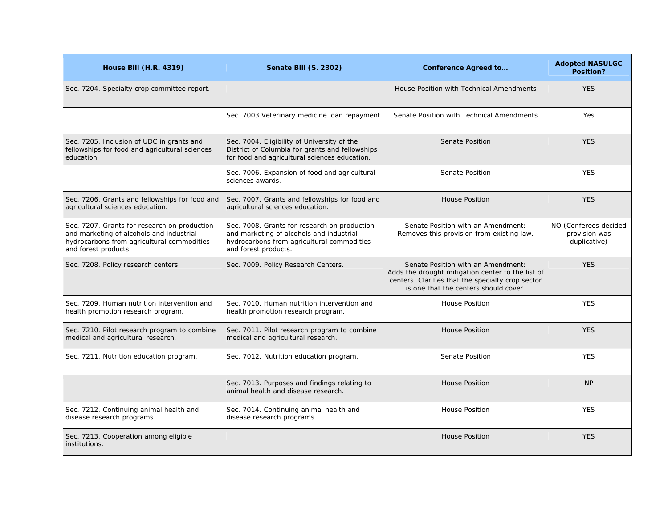| <b>House Bill (H.R. 4319)</b>                                                                                                                                  | Senate Bill (S. 2302)                                                                                                                                          | <b>Conference Agreed to</b>                                                                                                                                                           | <b>Adopted NASULGC</b><br>Position?                    |
|----------------------------------------------------------------------------------------------------------------------------------------------------------------|----------------------------------------------------------------------------------------------------------------------------------------------------------------|---------------------------------------------------------------------------------------------------------------------------------------------------------------------------------------|--------------------------------------------------------|
| Sec. 7204. Specialty crop committee report.                                                                                                                    |                                                                                                                                                                | House Position with Technical Amendments                                                                                                                                              | <b>YES</b>                                             |
|                                                                                                                                                                | Sec. 7003 Veterinary medicine Ioan repayment.                                                                                                                  | Senate Position with Technical Amendments                                                                                                                                             | <b>Yes</b>                                             |
| Sec. 7205. Inclusion of UDC in grants and<br>fellowships for food and agricultural sciences<br>education                                                       | Sec. 7004. Eligibility of University of the<br>District of Columbia for grants and fellowships<br>for food and agricultural sciences education.                | <b>Senate Position</b>                                                                                                                                                                | <b>YES</b>                                             |
|                                                                                                                                                                | Sec. 7006. Expansion of food and agricultural<br>sciences awards.                                                                                              | Senate Position                                                                                                                                                                       | <b>YES</b>                                             |
| Sec. 7206. Grants and fellowships for food and<br>agricultural sciences education.                                                                             | Sec. 7007. Grants and fellowships for food and<br>agricultural sciences education.                                                                             | <b>House Position</b>                                                                                                                                                                 | <b>YES</b>                                             |
| Sec. 7207. Grants for research on production<br>and marketing of alcohols and industrial<br>hydrocarbons from agricultural commodities<br>and forest products. | Sec. 7008. Grants for research on production<br>and marketing of alcohols and industrial<br>hydrocarbons from agricultural commodities<br>and forest products. | Senate Position with an Amendment:<br>Removes this provision from existing law.                                                                                                       | NO (Conferees decided<br>provision was<br>duplicative) |
| Sec. 7208. Policy research centers.                                                                                                                            | Sec. 7009. Policy Research Centers.                                                                                                                            | Senate Position with an Amendment:<br>Adds the drought mitigation center to the list of<br>centers. Clarifies that the specialty crop sector<br>is one that the centers should cover. | <b>YES</b>                                             |
| Sec. 7209. Human nutrition intervention and<br>health promotion research program.                                                                              | Sec. 7010. Human nutrition intervention and<br>health promotion research program.                                                                              | <b>House Position</b>                                                                                                                                                                 | <b>YES</b>                                             |
| Sec. 7210. Pilot research program to combine<br>medical and agricultural research.                                                                             | Sec. 7011. Pilot research program to combine<br>medical and agricultural research.                                                                             | <b>House Position</b>                                                                                                                                                                 | <b>YES</b>                                             |
| Sec. 7211. Nutrition education program.                                                                                                                        | Sec. 7012. Nutrition education program.                                                                                                                        | <b>Senate Position</b>                                                                                                                                                                | <b>YES</b>                                             |
|                                                                                                                                                                | Sec. 7013. Purposes and findings relating to<br>animal health and disease research.                                                                            | <b>House Position</b>                                                                                                                                                                 | <b>NP</b>                                              |
| Sec. 7212. Continuing animal health and<br>disease research programs.                                                                                          | Sec. 7014. Continuing animal health and<br>disease research programs.                                                                                          | <b>House Position</b>                                                                                                                                                                 | <b>YES</b>                                             |
| Sec. 7213. Cooperation among eligible<br>institutions.                                                                                                         |                                                                                                                                                                | <b>House Position</b>                                                                                                                                                                 | <b>YES</b>                                             |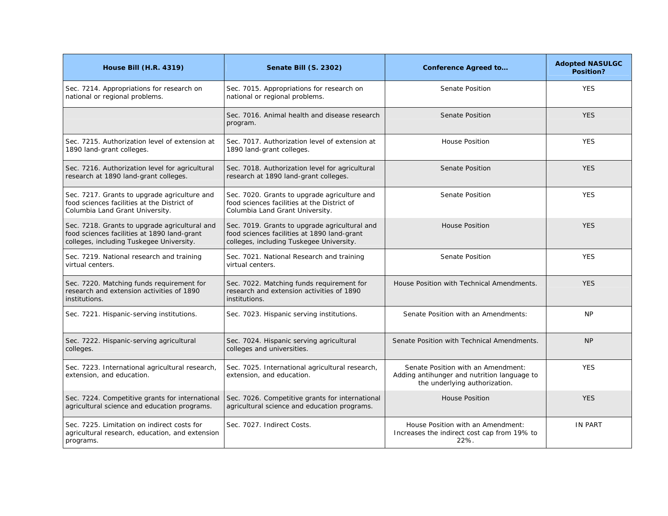| <b>House Bill (H.R. 4319)</b>                                                                                                            | Senate Bill (S. 2302)                                                                                                                    | <b>Conference Agreed to</b>                                                                                        | <b>Adopted NASULGC</b><br>Position? |
|------------------------------------------------------------------------------------------------------------------------------------------|------------------------------------------------------------------------------------------------------------------------------------------|--------------------------------------------------------------------------------------------------------------------|-------------------------------------|
| Sec. 7214. Appropriations for research on<br>national or regional problems.                                                              | Sec. 7015. Appropriations for research on<br>national or regional problems.                                                              | Senate Position                                                                                                    | <b>YES</b>                          |
|                                                                                                                                          | Sec. 7016. Animal health and disease research<br>program.                                                                                | <b>Senate Position</b>                                                                                             | <b>YES</b>                          |
| Sec. 7215. Authorization level of extension at<br>1890 land-grant colleges.                                                              | Sec. 7017. Authorization level of extension at<br>1890 land-grant colleges.                                                              | <b>House Position</b>                                                                                              | <b>YES</b>                          |
| Sec. 7216. Authorization level for agricultural<br>research at 1890 land-grant colleges.                                                 | Sec. 7018. Authorization level for agricultural<br>research at 1890 land-grant colleges.                                                 | Senate Position                                                                                                    | <b>YES</b>                          |
| Sec. 7217. Grants to upgrade agriculture and<br>food sciences facilities at the District of<br>Columbia Land Grant University.           | Sec. 7020. Grants to upgrade agriculture and<br>food sciences facilities at the District of<br>Columbia Land Grant University.           | Senate Position                                                                                                    | <b>YES</b>                          |
| Sec. 7218. Grants to upgrade agricultural and<br>food sciences facilities at 1890 land-grant<br>colleges, including Tuskegee University. | Sec. 7019. Grants to upgrade agricultural and<br>food sciences facilities at 1890 land-grant<br>colleges, including Tuskegee University. | <b>House Position</b>                                                                                              | <b>YES</b>                          |
| Sec. 7219. National research and training<br>virtual centers.                                                                            | Sec. 7021. National Research and training<br>virtual centers.                                                                            | Senate Position                                                                                                    | <b>YES</b>                          |
| Sec. 7220. Matching funds requirement for<br>research and extension activities of 1890<br>institutions.                                  | Sec. 7022. Matching funds requirement for<br>research and extension activities of 1890<br>institutions.                                  | House Position with Technical Amendments.                                                                          | <b>YES</b>                          |
| Sec. 7221. Hispanic-serving institutions.                                                                                                | Sec. 7023. Hispanic serving institutions.                                                                                                | Senate Position with an Amendments:                                                                                | <b>NP</b>                           |
| Sec. 7222. Hispanic-serving agricultural<br>colleges.                                                                                    | Sec. 7024. Hispanic serving agricultural<br>colleges and universities.                                                                   | Senate Position with Technical Amendments.                                                                         | <b>NP</b>                           |
| Sec. 7223. International agricultural research,<br>extension, and education.                                                             | Sec. 7025. International agricultural research,<br>extension, and education.                                                             | Senate Position with an Amendment:<br>Adding antihunger and nutrition language to<br>the underlying authorization. | <b>YES</b>                          |
| Sec. 7224. Competitive grants for international<br>agricultural science and education programs.                                          | Sec. 7026. Competitive grants for international<br>agricultural science and education programs.                                          | <b>House Position</b>                                                                                              | <b>YES</b>                          |
| Sec. 7225. Limitation on indirect costs for<br>agricultural research, education, and extension<br>programs.                              | Sec. 7027. Indirect Costs.                                                                                                               | House Position with an Amendment:<br>Increases the indirect cost cap from 19% to<br>22%.                           | <b>IN PART</b>                      |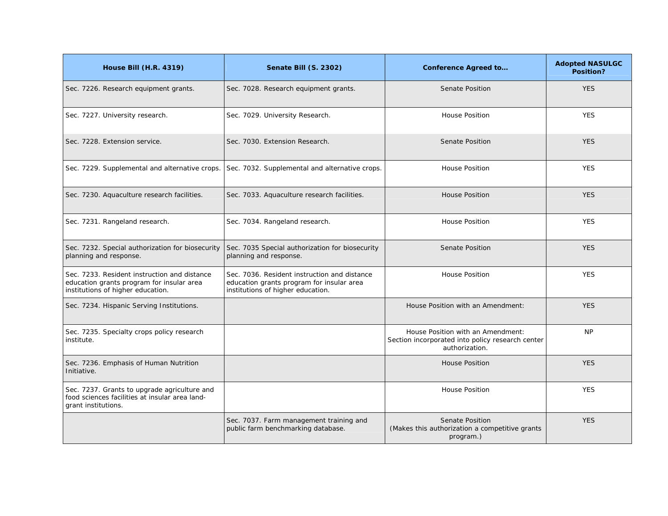| <b>House Bill (H.R. 4319)</b>                                                                                                  | Senate Bill (S. 2302)                                                                                                          | <b>Conference Agreed to</b>                                                                             | <b>Adopted NASULGC</b><br>Position? |
|--------------------------------------------------------------------------------------------------------------------------------|--------------------------------------------------------------------------------------------------------------------------------|---------------------------------------------------------------------------------------------------------|-------------------------------------|
| Sec. 7226. Research equipment grants.                                                                                          | Sec. 7028. Research equipment grants.                                                                                          | Senate Position                                                                                         | <b>YES</b>                          |
| Sec. 7227. University research.                                                                                                | Sec. 7029. University Research.                                                                                                | <b>House Position</b>                                                                                   | <b>YES</b>                          |
| Sec. 7228. Extension service.                                                                                                  | Sec. 7030. Extension Research.                                                                                                 | <b>Senate Position</b>                                                                                  | <b>YES</b>                          |
| Sec. 7229. Supplemental and alternative crops.                                                                                 | Sec. 7032. Supplemental and alternative crops.                                                                                 | <b>House Position</b>                                                                                   | <b>YES</b>                          |
| Sec. 7230. Aquaculture research facilities.                                                                                    | Sec. 7033. Aquaculture research facilities.                                                                                    | <b>House Position</b>                                                                                   | <b>YES</b>                          |
| Sec. 7231. Rangeland research.                                                                                                 | Sec. 7034. Rangeland research.                                                                                                 | <b>House Position</b>                                                                                   | <b>YES</b>                          |
| Sec. 7232. Special authorization for biosecurity<br>planning and response.                                                     | Sec. 7035 Special authorization for biosecurity<br>planning and response.                                                      | <b>Senate Position</b>                                                                                  | <b>YES</b>                          |
| Sec. 7233. Resident instruction and distance<br>education grants program for insular area<br>institutions of higher education. | Sec. 7036. Resident instruction and distance<br>education grants program for insular area<br>institutions of higher education. | <b>House Position</b>                                                                                   | <b>YES</b>                          |
| Sec. 7234. Hispanic Serving Institutions.                                                                                      |                                                                                                                                | House Position with an Amendment:                                                                       | <b>YES</b>                          |
| Sec. 7235. Specialty crops policy research<br>institute.                                                                       |                                                                                                                                | House Position with an Amendment:<br>Section incorporated into policy research center<br>authorization. | <b>NP</b>                           |
| Sec. 7236. Emphasis of Human Nutrition<br>Initiative.                                                                          |                                                                                                                                | <b>House Position</b>                                                                                   | <b>YES</b>                          |
| Sec. 7237. Grants to upgrade agriculture and<br>food sciences facilities at insular area land-<br>grant institutions.          |                                                                                                                                | <b>House Position</b>                                                                                   | <b>YES</b>                          |
|                                                                                                                                | Sec. 7037. Farm management training and<br>public farm benchmarking database.                                                  | Senate Position<br>(Makes this authorization a competitive grants)<br>program.)                         | <b>YES</b>                          |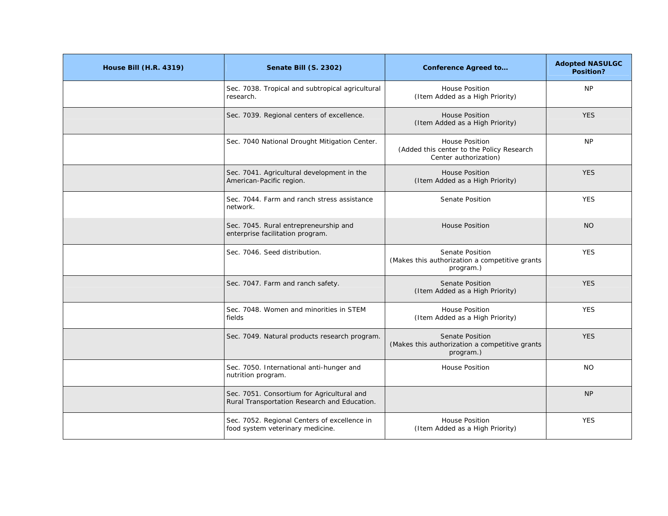| <b>House Bill (H.R. 4319)</b> | Senate Bill (S. 2302)                                                                      | <b>Conference Agreed to</b>                                                                 | <b>Adopted NASULGC</b><br>Position? |
|-------------------------------|--------------------------------------------------------------------------------------------|---------------------------------------------------------------------------------------------|-------------------------------------|
|                               | Sec. 7038. Tropical and subtropical agricultural<br>research.                              | House Position<br>(Item Added as a High Priority)                                           | <b>NP</b>                           |
|                               | Sec. 7039. Regional centers of excellence.                                                 | <b>House Position</b><br>(Item Added as a High Priority)                                    | <b>YES</b>                          |
|                               | Sec. 7040 National Drought Mitigation Center.                                              | <b>House Position</b><br>(Added this center to the Policy Research<br>Center authorization) | <b>NP</b>                           |
|                               | Sec. 7041. Agricultural development in the<br>American-Pacific region.                     | <b>House Position</b><br>(Item Added as a High Priority)                                    | <b>YES</b>                          |
|                               | Sec. 7044. Farm and ranch stress assistance<br>network.                                    | Senate Position                                                                             | <b>YES</b>                          |
|                               | Sec. 7045. Rural entrepreneurship and<br>enterprise facilitation program.                  | <b>House Position</b>                                                                       | <b>NO</b>                           |
|                               | Sec. 7046. Seed distribution.                                                              | Senate Position<br>(Makes this authorization a competitive grants<br>program.)              | <b>YES</b>                          |
|                               | Sec. 7047. Farm and ranch safety.                                                          | <b>Senate Position</b><br>(Item Added as a High Priority)                                   | <b>YES</b>                          |
|                               | Sec. 7048. Women and minorities in STEM<br>fields                                          | <b>House Position</b><br>(Item Added as a High Priority)                                    | <b>YES</b>                          |
|                               | Sec. 7049. Natural products research program.                                              | Senate Position<br>(Makes this authorization a competitive grants<br>program.)              | <b>YES</b>                          |
|                               | Sec. 7050. International anti-hunger and<br>nutrition program.                             | <b>House Position</b>                                                                       | <b>NO</b>                           |
|                               | Sec. 7051. Consortium for Agricultural and<br>Rural Transportation Research and Education. |                                                                                             | <b>NP</b>                           |
|                               | Sec. 7052. Regional Centers of excellence in<br>food system veterinary medicine.           | <b>House Position</b><br>(Item Added as a High Priority)                                    | <b>YES</b>                          |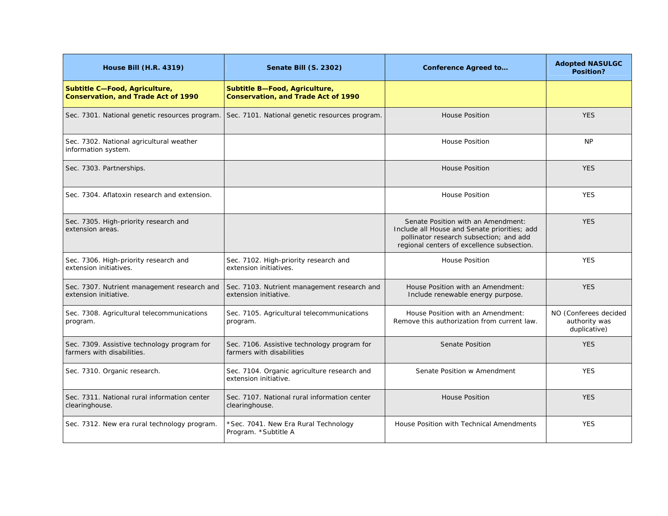| <b>House Bill (H.R. 4319)</b>                                               | Senate Bill (S. 2302)                                                       | <b>Conference Agreed to</b>                                                                                                                                                 | <b>Adopted NASULGC</b><br>Position?                    |
|-----------------------------------------------------------------------------|-----------------------------------------------------------------------------|-----------------------------------------------------------------------------------------------------------------------------------------------------------------------------|--------------------------------------------------------|
| Subtitle C-Food, Agriculture,<br><b>Conservation, and Trade Act of 1990</b> | Subtitle B-Food, Agriculture,<br><b>Conservation, and Trade Act of 1990</b> |                                                                                                                                                                             |                                                        |
| Sec. 7301. National genetic resources program.                              | Sec. 7101. National genetic resources program.                              | <b>House Position</b>                                                                                                                                                       | <b>YES</b>                                             |
| Sec. 7302. National agricultural weather<br>information system.             |                                                                             | <b>House Position</b>                                                                                                                                                       | <b>NP</b>                                              |
| Sec. 7303. Partnerships.                                                    |                                                                             | <b>House Position</b>                                                                                                                                                       | <b>YES</b>                                             |
| Sec. 7304. Aflatoxin research and extension.                                |                                                                             | <b>House Position</b>                                                                                                                                                       | <b>YES</b>                                             |
| Sec. 7305. High-priority research and<br>extension areas.                   |                                                                             | Senate Position with an Amendment:<br>Include all House and Senate priorities; add<br>pollinator research subsection; and add<br>regional centers of excellence subsection. | <b>YES</b>                                             |
| Sec. 7306. High-priority research and<br>extension initiatives.             | Sec. 7102. High-priority research and<br>extension initiatives.             | <b>House Position</b>                                                                                                                                                       | <b>YES</b>                                             |
| Sec. 7307. Nutrient management research and<br>extension initiative.        | Sec. 7103. Nutrient management research and<br>extension initiative.        | House Position with an Amendment:<br>Include renewable energy purpose.                                                                                                      | <b>YES</b>                                             |
| Sec. 7308. Agricultural telecommunications<br>program.                      | Sec. 7105. Agricultural telecommunications<br>program.                      | House Position with an Amendment:<br>Remove this authorization from current law.                                                                                            | NO (Conferees decided<br>authority was<br>duplicative) |
| Sec. 7309. Assistive technology program for<br>farmers with disabilities.   | Sec. 7106. Assistive technology program for<br>farmers with disabilities    | <b>Senate Position</b>                                                                                                                                                      | <b>YES</b>                                             |
| Sec. 7310. Organic research.                                                | Sec. 7104. Organic agriculture research and<br>extension initiative.        | Senate Position w Amendment                                                                                                                                                 | <b>YES</b>                                             |
| Sec. 7311. National rural information center<br>clearinghouse.              | Sec. 7107. National rural information center<br>clearinghouse.              | <b>House Position</b>                                                                                                                                                       | <b>YES</b>                                             |
| Sec. 7312. New era rural technology program.                                | *Sec. 7041. New Era Rural Technology<br>Program. *Subtitle A                | House Position with Technical Amendments                                                                                                                                    | <b>YES</b>                                             |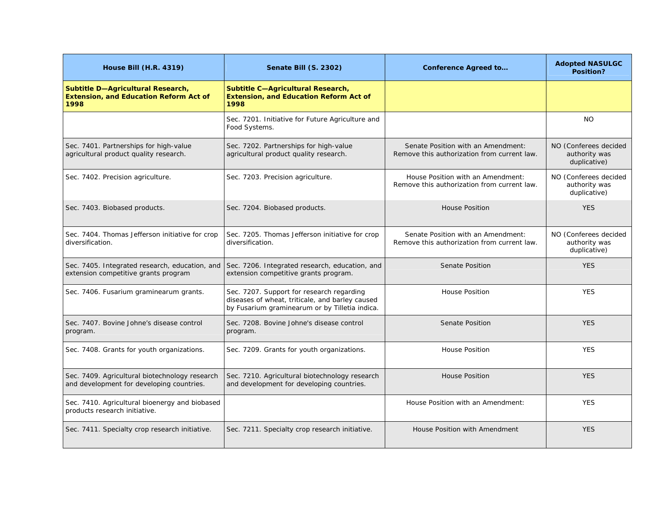| <b>House Bill (H.R. 4319)</b>                                                               | Senate Bill (S. 2302)                                                                                                                          | <b>Conference Agreed to</b>                                                       | <b>Adopted NASULGC</b><br>Position?                    |
|---------------------------------------------------------------------------------------------|------------------------------------------------------------------------------------------------------------------------------------------------|-----------------------------------------------------------------------------------|--------------------------------------------------------|
| Subtitle D-Agricultural Research,<br><b>Extension, and Education Reform Act of</b><br>1998  | Subtitle C-Agricultural Research,<br><b>Extension, and Education Reform Act of</b><br>1998                                                     |                                                                                   |                                                        |
|                                                                                             | Sec. 7201. Initiative for Future Agriculture and<br>Food Systems.                                                                              |                                                                                   | <b>NO</b>                                              |
| Sec. 7401. Partnerships for high-value<br>agricultural product quality research.            | Sec. 7202. Partnerships for high-value<br>agricultural product quality research.                                                               | Senate Position with an Amendment:<br>Remove this authorization from current law. | NO (Conferees decided<br>authority was<br>duplicative) |
| Sec. 7402. Precision agriculture.                                                           | Sec. 7203. Precision agriculture.                                                                                                              | House Position with an Amendment:<br>Remove this authorization from current law.  | NO (Conferees decided<br>authority was<br>duplicative) |
| Sec. 7403. Biobased products.                                                               | Sec. 7204. Biobased products.                                                                                                                  | <b>House Position</b>                                                             | <b>YES</b>                                             |
| Sec. 7404. Thomas Jefferson initiative for crop<br>diversification.                         | Sec. 7205. Thomas Jefferson initiative for crop<br>diversification.                                                                            | Senate Position with an Amendment:<br>Remove this authorization from current law. | NO (Conferees decided<br>authority was<br>duplicative) |
| Sec. 7405. Integrated research, education, and<br>extension competitive grants program      | Sec. 7206. Integrated research, education, and<br>extension competitive grants program.                                                        | <b>Senate Position</b>                                                            | <b>YES</b>                                             |
| Sec. 7406. Fusarium graminearum grants.                                                     | Sec. 7207. Support for research regarding<br>diseases of wheat, triticale, and barley caused<br>by Fusarium graminearum or by Tilletia indica. | <b>House Position</b>                                                             | <b>YES</b>                                             |
| Sec. 7407. Bovine Johne's disease control<br>program.                                       | Sec. 7208. Bovine Johne's disease control<br>program.                                                                                          | <b>Senate Position</b>                                                            | <b>YES</b>                                             |
| Sec. 7408. Grants for youth organizations.                                                  | Sec. 7209. Grants for youth organizations.                                                                                                     | <b>House Position</b>                                                             | <b>YES</b>                                             |
| Sec. 7409. Agricultural biotechnology research<br>and development for developing countries. | Sec. 7210. Agricultural biotechnology research<br>and development for developing countries.                                                    | <b>House Position</b>                                                             | <b>YES</b>                                             |
| Sec. 7410. Agricultural bioenergy and biobased<br>products research initiative.             |                                                                                                                                                | House Position with an Amendment:                                                 | <b>YES</b>                                             |
| Sec. 7411. Specialty crop research initiative.                                              | Sec. 7211. Specialty crop research initiative.                                                                                                 | House Position with Amendment                                                     | <b>YES</b>                                             |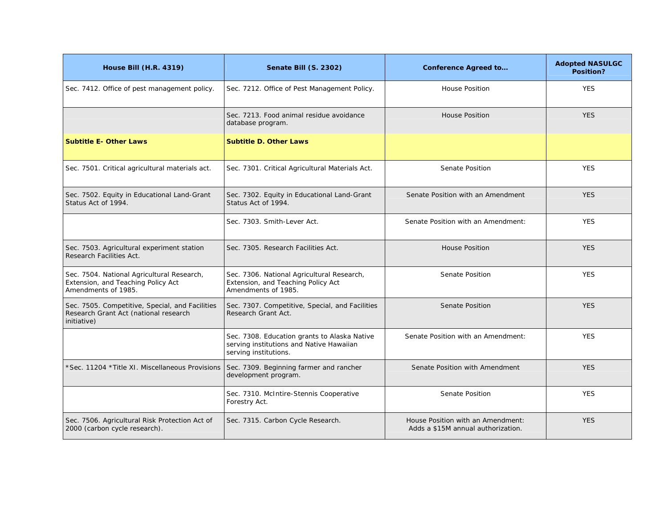| <b>House Bill (H.R. 4319)</b>                                                                           | Senate Bill (S. 2302)                                                                                             | <b>Conference Agreed to</b>                                             | <b>Adopted NASULGC</b><br><b>Position?</b> |
|---------------------------------------------------------------------------------------------------------|-------------------------------------------------------------------------------------------------------------------|-------------------------------------------------------------------------|--------------------------------------------|
| Sec. 7412. Office of pest management policy.                                                            | Sec. 7212. Office of Pest Management Policy.                                                                      | <b>House Position</b>                                                   | <b>YES</b>                                 |
|                                                                                                         | Sec. 7213. Food animal residue avoidance<br>database program.                                                     | <b>House Position</b>                                                   | <b>YES</b>                                 |
| <b>Subtitle E- Other Laws</b>                                                                           | <b>Subtitle D. Other Laws</b>                                                                                     |                                                                         |                                            |
| Sec. 7501. Critical agricultural materials act.                                                         | Sec. 7301. Critical Agricultural Materials Act.                                                                   | Senate Position                                                         | <b>YES</b>                                 |
| Sec. 7502. Equity in Educational Land-Grant<br>Status Act of 1994.                                      | Sec. 7302. Equity in Educational Land-Grant<br>Status Act of 1994.                                                | Senate Position with an Amendment                                       | <b>YES</b>                                 |
|                                                                                                         | Sec. 7303. Smith-Lever Act.                                                                                       | Senate Position with an Amendment:                                      | <b>YES</b>                                 |
| Sec. 7503. Agricultural experiment station<br>Research Facilities Act.                                  | Sec. 7305. Research Facilities Act.                                                                               | <b>House Position</b>                                                   | <b>YES</b>                                 |
| Sec. 7504. National Agricultural Research,<br>Extension, and Teaching Policy Act<br>Amendments of 1985. | Sec. 7306. National Agricultural Research,<br>Extension, and Teaching Policy Act<br>Amendments of 1985.           | Senate Position                                                         | <b>YES</b>                                 |
| Sec. 7505. Competitive, Special, and Facilities<br>Research Grant Act (national research<br>initiative) | Sec. 7307. Competitive, Special, and Facilities<br>Research Grant Act.                                            | <b>Senate Position</b>                                                  | <b>YES</b>                                 |
|                                                                                                         | Sec. 7308. Education grants to Alaska Native<br>serving institutions and Native Hawaiian<br>serving institutions. | Senate Position with an Amendment:                                      | <b>YES</b>                                 |
| *Sec. 11204 * Title XI. Miscellaneous Provisions                                                        | Sec. 7309. Beginning farmer and rancher<br>development program.                                                   | Senate Position with Amendment                                          | <b>YES</b>                                 |
|                                                                                                         | Sec. 7310. McIntire-Stennis Cooperative<br>Forestry Act.                                                          | Senate Position                                                         | <b>YES</b>                                 |
| Sec. 7506. Agricultural Risk Protection Act of<br>2000 (carbon cycle research).                         | Sec. 7315. Carbon Cycle Research.                                                                                 | House Position with an Amendment:<br>Adds a \$15M annual authorization. | <b>YES</b>                                 |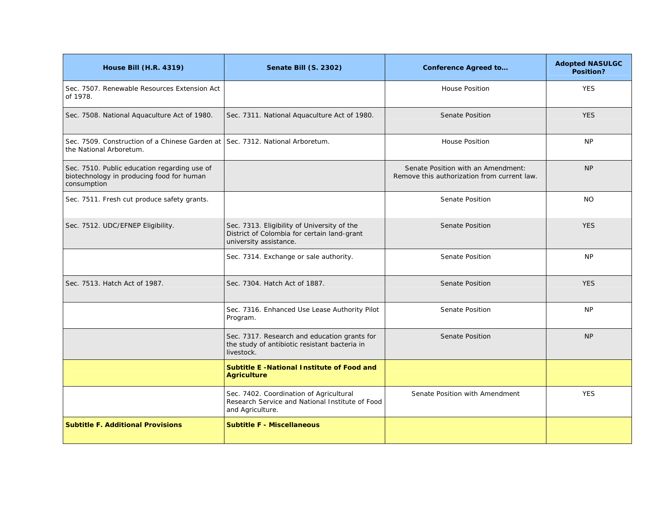| <b>House Bill (H.R. 4319)</b>                                                                            | Senate Bill (S. 2302)                                                                                                | <b>Conference Agreed to</b>                                                       | <b>Adopted NASULGC</b><br>Position? |
|----------------------------------------------------------------------------------------------------------|----------------------------------------------------------------------------------------------------------------------|-----------------------------------------------------------------------------------|-------------------------------------|
| Sec. 7507. Renewable Resources Extension Act<br>of 1978.                                                 |                                                                                                                      | <b>House Position</b>                                                             | <b>YES</b>                          |
| Sec. 7508. National Aquaculture Act of 1980.                                                             | Sec. 7311. National Aquaculture Act of 1980.                                                                         | <b>Senate Position</b>                                                            | <b>YES</b>                          |
| Sec. 7509. Construction of a Chinese Garden at<br>the National Arboretum.                                | Sec. 7312. National Arboretum.                                                                                       | <b>House Position</b>                                                             | NP                                  |
| Sec. 7510. Public education regarding use of<br>biotechnology in producing food for human<br>consumption |                                                                                                                      | Senate Position with an Amendment:<br>Remove this authorization from current law. | <b>NP</b>                           |
| Sec. 7511. Fresh cut produce safety grants.                                                              |                                                                                                                      | Senate Position                                                                   | <b>NO</b>                           |
| Sec. 7512. UDC/EFNEP Eligibility.                                                                        | Sec. 7313. Eligibility of University of the<br>District of Colombia for certain land-grant<br>university assistance. | <b>Senate Position</b>                                                            | <b>YES</b>                          |
|                                                                                                          | Sec. 7314. Exchange or sale authority.                                                                               | <b>Senate Position</b>                                                            | <b>NP</b>                           |
| Sec. 7513. Hatch Act of 1987.                                                                            | Sec. 7304. Hatch Act of 1887.                                                                                        | <b>Senate Position</b>                                                            | <b>YES</b>                          |
|                                                                                                          | Sec. 7316. Enhanced Use Lease Authority Pilot<br>Program.                                                            | Senate Position                                                                   | <b>NP</b>                           |
|                                                                                                          | Sec. 7317. Research and education grants for<br>the study of antibiotic resistant bacteria in<br>livestock.          | <b>Senate Position</b>                                                            | <b>NP</b>                           |
|                                                                                                          | <b>Subtitle E-National Institute of Food and</b><br><b>Agriculture</b>                                               |                                                                                   |                                     |
|                                                                                                          | Sec. 7402. Coordination of Agricultural<br>Research Service and National Institute of Food<br>and Agriculture.       | Senate Position with Amendment                                                    | <b>YES</b>                          |
| <b>Subtitle F. Additional Provisions</b>                                                                 | <b>Subtitle F - Miscellaneous</b>                                                                                    |                                                                                   |                                     |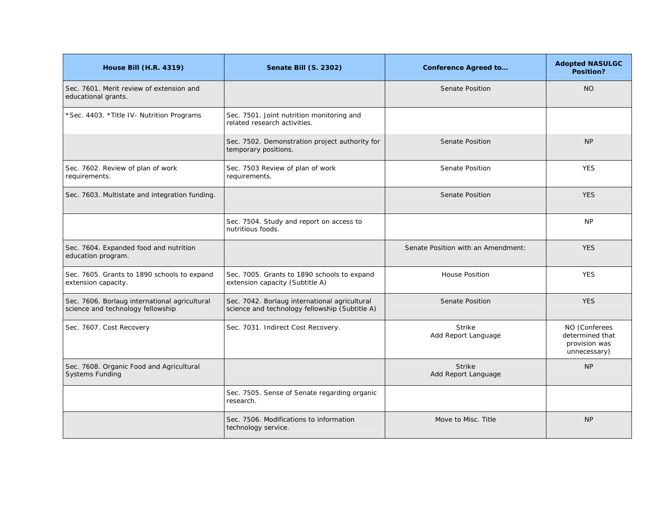| <b>House Bill (H.R. 4319)</b>                                                      | <b>Senate Bill (S. 2302)</b>                                                                    | <b>Conference Agreed to</b>          | <b>Adopted NASULGC</b><br>Position?                               |
|------------------------------------------------------------------------------------|-------------------------------------------------------------------------------------------------|--------------------------------------|-------------------------------------------------------------------|
| Sec. 7601. Merit review of extension and<br>educational grants.                    |                                                                                                 | <b>Senate Position</b>               | <b>NO</b>                                                         |
| *Sec. 4403. * Title IV- Nutrition Programs                                         | Sec. 7501. Joint nutrition monitoring and<br>related research activities.                       |                                      |                                                                   |
|                                                                                    | Sec. 7502. Demonstration project authority for<br>temporary positions.                          | Senate Position                      | <b>NP</b>                                                         |
| Sec. 7602. Review of plan of work<br>requirements.                                 | Sec. 7503 Review of plan of work<br>requirements.                                               | <b>Senate Position</b>               | <b>YES</b>                                                        |
| Sec. 7603. Multistate and integration funding.                                     |                                                                                                 | <b>Senate Position</b>               | <b>YES</b>                                                        |
|                                                                                    | Sec. 7504. Study and report on access to<br>nutritious foods.                                   |                                      | <b>NP</b>                                                         |
| Sec. 7604. Expanded food and nutrition<br>education program.                       |                                                                                                 | Senate Position with an Amendment:   | <b>YES</b>                                                        |
| Sec. 7605. Grants to 1890 schools to expand<br>extension capacity.                 | Sec. 7005. Grants to 1890 schools to expand<br>extension capacity (Subtitle A)                  | <b>House Position</b>                | <b>YES</b>                                                        |
| Sec. 7606. Borlaug international agricultural<br>science and technology fellowship | Sec. 7042. Borlaug international agricultural<br>science and technology fellowship (Subtitle A) | Senate Position                      | <b>YES</b>                                                        |
| Sec. 7607. Cost Recovery                                                           | Sec. 7031. Indirect Cost Recovery.                                                              | <b>Strike</b><br>Add Report Language | NO (Conferees<br>determined that<br>provision was<br>unnecessary) |
| Sec. 7608. Organic Food and Agricultural<br><b>Systems Funding</b>                 |                                                                                                 | <b>Strike</b><br>Add Report Language | <b>NP</b>                                                         |
|                                                                                    | Sec. 7505. Sense of Senate regarding organic<br>research.                                       |                                      |                                                                   |
|                                                                                    | Sec. 7506. Modifications to information<br>technology service.                                  | Move to Misc. Title                  | <b>NP</b>                                                         |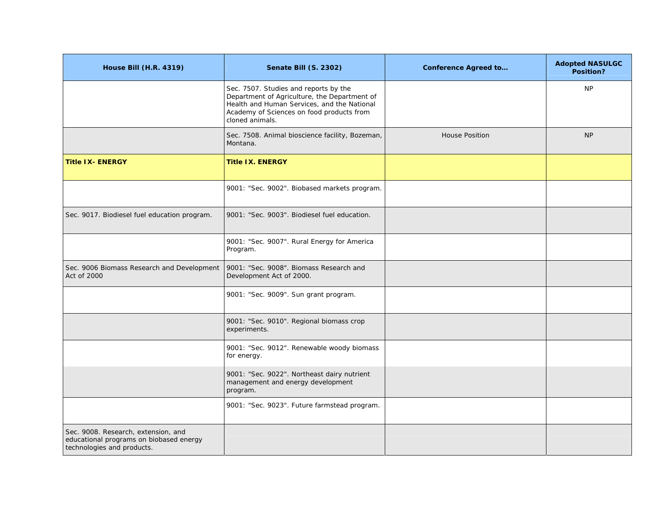| <b>House Bill (H.R. 4319)</b>                                                                                | Senate Bill (S. 2302)                                                                                                                                                                                | <b>Conference Agreed to</b> | <b>Adopted NASULGC</b><br>Position? |
|--------------------------------------------------------------------------------------------------------------|------------------------------------------------------------------------------------------------------------------------------------------------------------------------------------------------------|-----------------------------|-------------------------------------|
|                                                                                                              | Sec. 7507. Studies and reports by the<br>Department of Agriculture, the Department of<br>Health and Human Services, and the National<br>Academy of Sciences on food products from<br>cloned animals. |                             | <b>NP</b>                           |
|                                                                                                              | Sec. 7508. Animal bioscience facility, Bozeman,<br>Montana.                                                                                                                                          | <b>House Position</b>       | <b>NP</b>                           |
| <b>Title IX- ENERGY</b>                                                                                      | <b>Title IX. ENERGY</b>                                                                                                                                                                              |                             |                                     |
|                                                                                                              | 9001: "Sec. 9002". Biobased markets program.                                                                                                                                                         |                             |                                     |
| Sec. 9017. Biodiesel fuel education program.                                                                 | 9001: "Sec. 9003". Biodiesel fuel education.                                                                                                                                                         |                             |                                     |
|                                                                                                              | 9001: "Sec. 9007". Rural Energy for America<br>Program.                                                                                                                                              |                             |                                     |
| Sec. 9006 Biomass Research and Development<br>Act of 2000                                                    | 9001: "Sec. 9008". Biomass Research and<br>Development Act of 2000.                                                                                                                                  |                             |                                     |
|                                                                                                              | 9001: "Sec. 9009". Sun grant program.                                                                                                                                                                |                             |                                     |
|                                                                                                              | 9001: "Sec. 9010". Regional biomass crop<br>experiments.                                                                                                                                             |                             |                                     |
|                                                                                                              | 9001: "Sec. 9012". Renewable woody biomass<br>for energy.                                                                                                                                            |                             |                                     |
|                                                                                                              | 9001: "Sec. 9022". Northeast dairy nutrient<br>management and energy development<br>program.                                                                                                         |                             |                                     |
|                                                                                                              | 9001: "Sec. 9023". Future farmstead program.                                                                                                                                                         |                             |                                     |
| Sec. 9008. Research, extension, and<br>educational programs on biobased energy<br>technologies and products. |                                                                                                                                                                                                      |                             |                                     |